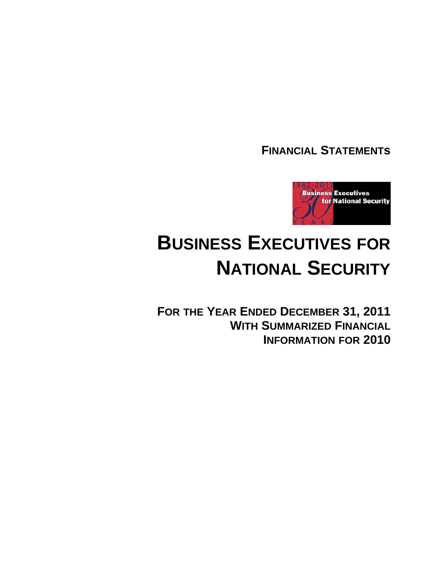**FINANCIAL STATEMENTs**



# **BUSINESS EXECUTIVES FOR NATIONAL SECURITY**

**FOR THE YEAR ENDED DECEMBER 31, 2011 WITH SUMMARIZED FINANCIAL INFORMATION FOR 2010**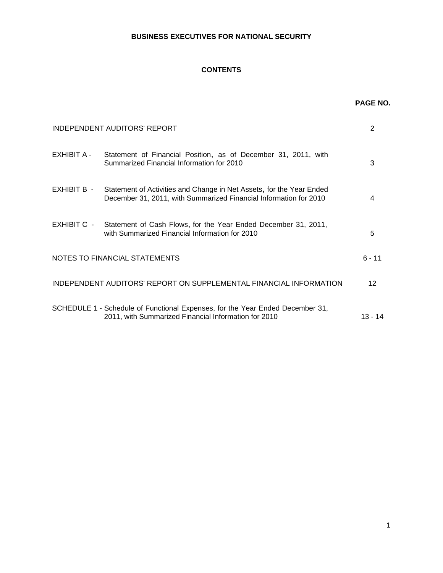# **CONTENTS**

|                    |                                                                                                                                           | <b>PAGE NO.</b> |
|--------------------|-------------------------------------------------------------------------------------------------------------------------------------------|-----------------|
|                    | <b>INDEPENDENT AUDITORS' REPORT</b>                                                                                                       | 2               |
| <b>EXHIBIT A -</b> | Statement of Financial Position, as of December 31, 2011, with<br>Summarized Financial Information for 2010                               | 3               |
| EXHIBIT B -        | Statement of Activities and Change in Net Assets, for the Year Ended<br>December 31, 2011, with Summarized Financial Information for 2010 | 4               |
| EXHIBIT C -        | Statement of Cash Flows, for the Year Ended December 31, 2011,<br>with Summarized Financial Information for 2010                          | 5               |
|                    | NOTES TO FINANCIAL STATEMENTS                                                                                                             | $6 - 11$        |
|                    | INDEPENDENT AUDITORS' REPORT ON SUPPLEMENTAL FINANCIAL INFORMATION                                                                        | 12              |
|                    | SCHEDULE 1 - Schedule of Functional Expenses, for the Year Ended December 31,<br>2011, with Summarized Financial Information for 2010     | $13 - 14$       |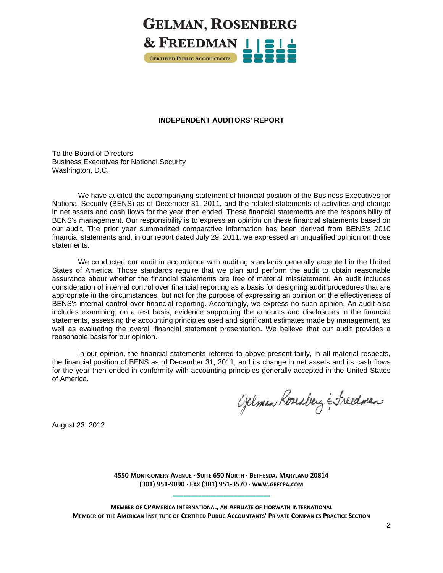

## **INDEPENDENT AUDITORS' REPORT**

To the Board of Directors Business Executives for National Security Washington, D.C.

We have audited the accompanying statement of financial position of the Business Executives for National Security (BENS) as of December 31, 2011, and the related statements of activities and change in net assets and cash flows for the year then ended. These financial statements are the responsibility of BENS's management. Our responsibility is to express an opinion on these financial statements based on our audit. The prior year summarized comparative information has been derived from BENS's 2010 financial statements and, in our report dated July 29, 2011, we expressed an unqualified opinion on those statements.

We conducted our audit in accordance with auditing standards generally accepted in the United States of America. Those standards require that we plan and perform the audit to obtain reasonable assurance about whether the financial statements are free of material misstatement. An audit includes consideration of internal control over financial reporting as a basis for designing audit procedures that are appropriate in the circumstances, but not for the purpose of expressing an opinion on the effectiveness of BENS's internal control over financial reporting. Accordingly, we express no such opinion. An audit also includes examining, on a test basis, evidence supporting the amounts and disclosures in the financial statements, assessing the accounting principles used and significant estimates made by management, as well as evaluating the overall financial statement presentation. We believe that our audit provides a reasonable basis for our opinion.

In our opinion, the financial statements referred to above present fairly, in all material respects, the financial position of BENS as of December 31, 2011, and its change in net assets and its cash flows for the year then ended in conformity with accounting principles generally accepted in the United States of America.

Gelman Roseaberg & Freedman

August 23, 2012

**4550 MONTGOMERY AVENUE ∙ SUITE 650 NORTH ∙ BETHESDA, MARYLAND 20814 (301) 951‐9090 ∙ FAX (301) 951‐3570 ∙ WWW.GRFCPA.COM \_\_\_\_\_\_\_\_\_\_\_\_\_\_\_\_\_\_\_\_\_\_\_\_\_\_\_**

**MEMBER OF CPAMERICA INTERNATIONAL, AN AFFILIATE OF HORWATH INTERNATIONAL MEMBER OF THE AMERICAN INSTITUTE OF CERTIFIED PUBLIC ACCOUNTANTS' PRIVATE COMPANIES PRACTICE SECTION**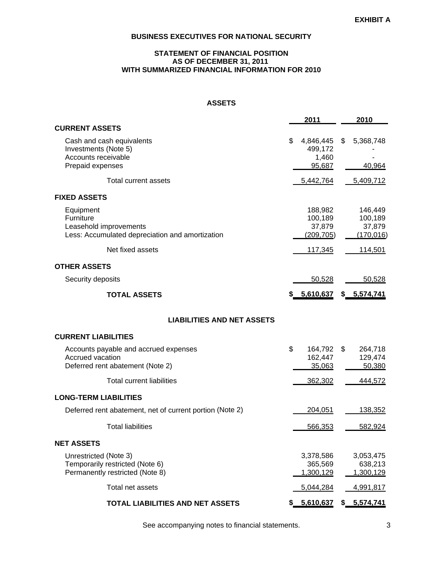## **STATEMENT OF FINANCIAL POSITION AS OF DECEMBER 31, 2011 WITH SUMMARIZED FINANCIAL INFORMATION FOR 2010**

## **ASSETS**

|                                                                                                     | 2011                                          | 2010                                       |
|-----------------------------------------------------------------------------------------------------|-----------------------------------------------|--------------------------------------------|
| <b>CURRENT ASSETS</b>                                                                               |                                               |                                            |
| Cash and cash equivalents<br>Investments (Note 5)<br>Accounts receivable<br>Prepaid expenses        | \$<br>4,846,445<br>499,172<br>1,460<br>95,687 | \$<br>5,368,748<br>40,964                  |
| <b>Total current assets</b>                                                                         | 5,442,764                                     | 5,409,712                                  |
| <b>FIXED ASSETS</b>                                                                                 |                                               |                                            |
| Equipment<br>Furniture<br>Leasehold improvements<br>Less: Accumulated depreciation and amortization | 188,982<br>100,189<br>37,879<br>(209, 705)    | 146,449<br>100,189<br>37,879<br>(170, 016) |
| Net fixed assets                                                                                    | <u>117,345</u>                                | 114,501                                    |
| <b>OTHER ASSETS</b>                                                                                 |                                               |                                            |
| Security deposits                                                                                   | 50,528                                        | 50,528                                     |
| <b>TOTAL ASSETS</b>                                                                                 | \$ 5,610,637                                  | \$ 5,574,741                               |
| <b>LIABILITIES AND NET ASSETS</b>                                                                   |                                               |                                            |
| <b>CURRENT LIABILITIES</b>                                                                          |                                               |                                            |
| Accounts payable and accrued expenses<br>Accrued vacation<br>Deferred rent abatement (Note 2)       | \$<br>164,792 \$<br>162,447<br>35,063         | 264,718<br>129,474<br>50,380               |
| <b>Total current liabilities</b>                                                                    | 362,302                                       | 444,572                                    |
| <b>LONG-TERM LIABILITIES</b>                                                                        |                                               |                                            |
| Deferred rent abatement, net of current portion (Note 2)                                            | 204,051                                       | 138,352                                    |
| <b>Total liabilities</b>                                                                            | 566,353                                       | 582,924                                    |
| <b>NET ASSETS</b>                                                                                   |                                               |                                            |
| Unrestricted (Note 3)<br>Temporarily restricted (Note 6)<br>Permanently restricted (Note 8)         | 3,378,586<br>365,569<br>1,300,129             | 3,053,475<br>638,213<br>1,300,129          |
| Total net assets                                                                                    | 5,044,284                                     | 4,991,817                                  |
| TOTAL LIABILITIES AND NET ASSETS                                                                    | 5,610,637                                     | \$<br>5,574,741                            |

See accompanying notes to financial statements. **3** 3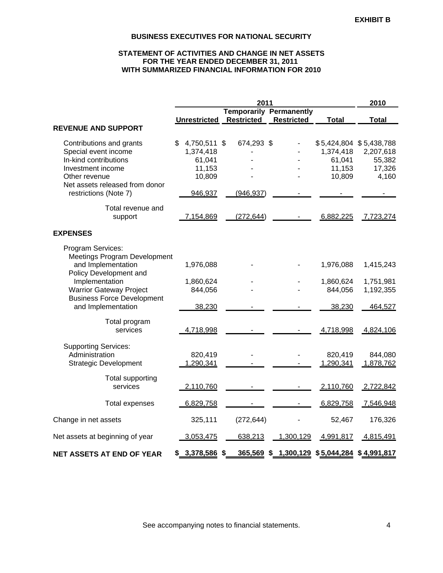## **STATEMENT OF ACTIVITIES AND CHANGE IN NET ASSETS FOR THE YEAR ENDED DECEMBER 31, 2011 WITH SUMMARIZED FINANCIAL INFORMATION FOR 2010**

|                                                         |                      | 2010              |                                  |                      |                         |
|---------------------------------------------------------|----------------------|-------------------|----------------------------------|----------------------|-------------------------|
|                                                         |                      |                   | <b>Temporarily Permanently</b>   |                      |                         |
|                                                         | <b>Unrestricted</b>  | <b>Restricted</b> | <b>Restricted</b>                | <b>Total</b>         | <b>Total</b>            |
| <b>REVENUE AND SUPPORT</b>                              |                      |                   |                                  |                      |                         |
| Contributions and grants                                | 4,750,511 \$<br>\$   | 674,293 \$        |                                  |                      | \$5,424,804 \$5,438,788 |
| Special event income                                    | 1,374,418            |                   |                                  | 1,374,418            | 2,207,618               |
| In-kind contributions                                   | 61,041               |                   |                                  | 61,041               | 55,382                  |
| Investment income                                       | 11,153               |                   |                                  | 11,153               | 17,326                  |
| Other revenue                                           | 10,809               |                   |                                  | 10,809               | 4,160                   |
| Net assets released from donor                          |                      |                   |                                  |                      |                         |
| restrictions (Note 7)                                   | 946,937              | (946, 937)        |                                  |                      |                         |
| Total revenue and                                       |                      |                   |                                  |                      |                         |
| support                                                 | 7,154,869            | (272, 644)        |                                  | 6,882,225            | 7,723,274               |
|                                                         |                      |                   |                                  |                      |                         |
| <b>EXPENSES</b>                                         |                      |                   |                                  |                      |                         |
| Program Services:                                       |                      |                   |                                  |                      |                         |
| <b>Meetings Program Development</b>                     |                      |                   |                                  |                      |                         |
| and Implementation                                      | 1,976,088            |                   |                                  | 1,976,088            | 1,415,243               |
| Policy Development and                                  |                      |                   |                                  |                      |                         |
| Implementation                                          | 1,860,624            |                   |                                  | 1,860,624            | 1,751,981               |
| <b>Warrior Gateway Project</b>                          | 844,056              |                   |                                  | 844,056              | 1,192,355               |
| <b>Business Force Development</b><br>and Implementation | 38,230               |                   |                                  | 38,230               | 464,527                 |
|                                                         |                      |                   |                                  |                      |                         |
| Total program                                           |                      |                   |                                  |                      |                         |
| services                                                | 4,718,998            |                   |                                  | 4,718,998            | 4,824,106               |
|                                                         |                      |                   |                                  |                      |                         |
| <b>Supporting Services:</b><br>Administration           |                      |                   |                                  |                      |                         |
|                                                         | 820,419<br>1,290,341 |                   |                                  | 820,419<br>1,290,341 | 844,080<br>1,878,762    |
| <b>Strategic Development</b>                            |                      |                   |                                  |                      |                         |
| Total supporting                                        |                      |                   |                                  |                      |                         |
| services                                                | 2,110,760            |                   |                                  | 2,110,760            | 2,722,842               |
|                                                         |                      |                   |                                  |                      |                         |
| <b>Total expenses</b>                                   | 6,829,758            |                   |                                  | 6,829,758            | 7,546,948               |
| Change in net assets                                    | 325,111              | (272, 644)        |                                  | 52,467               | 176,326                 |
| Net assets at beginning of year                         | 3,053,475            | 638,213           | 1,300,129                        | 4,991,817            | 4,815,491               |
|                                                         |                      |                   |                                  |                      |                         |
| <b>NET ASSETS AT END OF YEAR</b>                        | \$ 3,378,586         | \$                | 365,569 \$ 1,300,129 \$5,044,284 |                      | \$4,991,817             |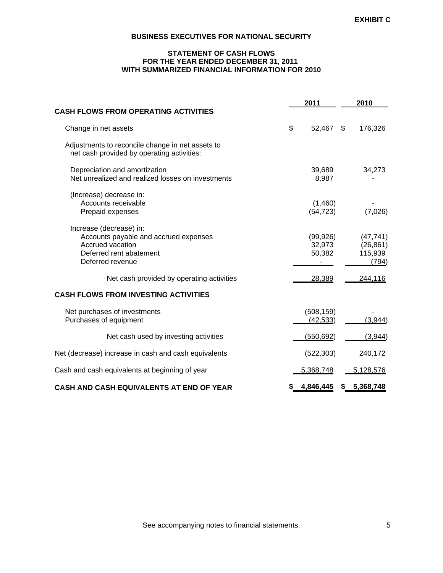## **STATEMENT OF CASH FLOWS FOR THE YEAR ENDED DECEMBER 31, 2011 WITH SUMMARIZED FINANCIAL INFORMATION FOR 2010**

|                                                                                                                                     |    | 2011                          | 2010                                       |  |
|-------------------------------------------------------------------------------------------------------------------------------------|----|-------------------------------|--------------------------------------------|--|
| <b>CASH FLOWS FROM OPERATING ACTIVITIES</b>                                                                                         |    |                               |                                            |  |
| Change in net assets                                                                                                                | \$ | 52,467                        | \$<br>176,326                              |  |
| Adjustments to reconcile change in net assets to<br>net cash provided by operating activities:                                      |    |                               |                                            |  |
| Depreciation and amortization<br>Net unrealized and realized losses on investments                                                  |    | 39,689<br>8,987               | 34,273                                     |  |
| (Increase) decrease in:<br>Accounts receivable<br>Prepaid expenses                                                                  |    | (1,460)<br>(54, 723)          | (7,026)                                    |  |
| Increase (decrease) in:<br>Accounts payable and accrued expenses<br>Accrued vacation<br>Deferred rent abatement<br>Deferred revenue |    | (99, 926)<br>32,973<br>50,382 | (47, 741)<br>(26, 861)<br>115,939<br>(794) |  |
| Net cash provided by operating activities                                                                                           |    | 28,389                        | 244,116                                    |  |
| <b>CASH FLOWS FROM INVESTING ACTIVITIES</b>                                                                                         |    |                               |                                            |  |
| Net purchases of investments<br>Purchases of equipment                                                                              |    | (508, 159)<br>(42, 533)       | (3,944)                                    |  |
| Net cash used by investing activities                                                                                               |    | (550, 692)                    | (3,944)                                    |  |
| Net (decrease) increase in cash and cash equivalents                                                                                |    | (522, 303)                    | 240,172                                    |  |
| Cash and cash equivalents at beginning of year                                                                                      |    | 5,368,748                     | 5,128,576                                  |  |
| <b>CASH AND CASH EQUIVALENTS AT END OF YEAR</b>                                                                                     | S  | 4,846,445                     | \$<br>5,368,748                            |  |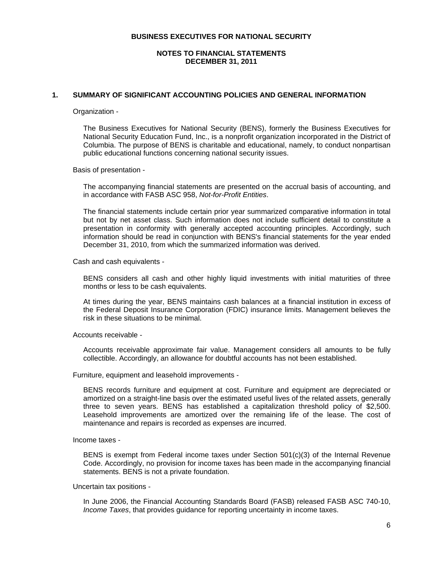#### **NOTES TO FINANCIAL STATEMENTS DECEMBER 31, 2011**

## **1. SUMMARY OF SIGNIFICANT ACCOUNTING POLICIES AND GENERAL INFORMATION**

Organization -

The Business Executives for National Security (BENS), formerly the Business Executives for National Security Education Fund, Inc., is a nonprofit organization incorporated in the District of Columbia. The purpose of BENS is charitable and educational, namely, to conduct nonpartisan public educational functions concerning national security issues.

Basis of presentation -

The accompanying financial statements are presented on the accrual basis of accounting, and in accordance with FASB ASC 958, *Not-for-Profit Entities*.

The financial statements include certain prior year summarized comparative information in total but not by net asset class. Such information does not include sufficient detail to constitute a presentation in conformity with generally accepted accounting principles. Accordingly, such information should be read in conjunction with BENS's financial statements for the year ended December 31, 2010, from which the summarized information was derived.

Cash and cash equivalents -

BENS considers all cash and other highly liquid investments with initial maturities of three months or less to be cash equivalents.

At times during the year, BENS maintains cash balances at a financial institution in excess of the Federal Deposit Insurance Corporation (FDIC) insurance limits. Management believes the risk in these situations to be minimal.

Accounts receivable -

Accounts receivable approximate fair value. Management considers all amounts to be fully collectible. Accordingly, an allowance for doubtful accounts has not been established.

Furniture, equipment and leasehold improvements -

BENS records furniture and equipment at cost. Furniture and equipment are depreciated or amortized on a straight-line basis over the estimated useful lives of the related assets, generally three to seven years. BENS has established a capitalization threshold policy of \$2,500. Leasehold improvements are amortized over the remaining life of the lease. The cost of maintenance and repairs is recorded as expenses are incurred.

Income taxes -

BENS is exempt from Federal income taxes under Section 501(c)(3) of the Internal Revenue Code. Accordingly, no provision for income taxes has been made in the accompanying financial statements. BENS is not a private foundation.

Uncertain tax positions -

In June 2006, the Financial Accounting Standards Board (FASB) released FASB ASC 740-10, *Income Taxes*, that provides guidance for reporting uncertainty in income taxes.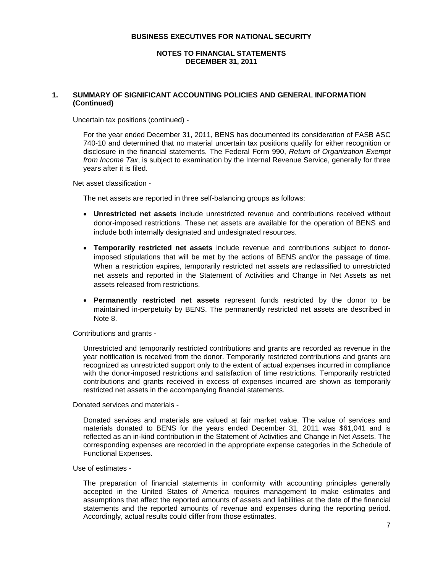#### **NOTES TO FINANCIAL STATEMENTS DECEMBER 31, 2011**

## **1. SUMMARY OF SIGNIFICANT ACCOUNTING POLICIES AND GENERAL INFORMATION (Continued)**

Uncertain tax positions (continued) -

For the year ended December 31, 2011, BENS has documented its consideration of FASB ASC 740-10 and determined that no material uncertain tax positions qualify for either recognition or disclosure in the financial statements. The Federal Form 990, *Return of Organization Exempt from Income Tax*, is subject to examination by the Internal Revenue Service, generally for three years after it is filed.

Net asset classification -

The net assets are reported in three self-balancing groups as follows:

- **Unrestricted net assets** include unrestricted revenue and contributions received without donor-imposed restrictions. These net assets are available for the operation of BENS and include both internally designated and undesignated resources.
- **Temporarily restricted net assets** include revenue and contributions subject to donorimposed stipulations that will be met by the actions of BENS and/or the passage of time. When a restriction expires, temporarily restricted net assets are reclassified to unrestricted net assets and reported in the Statement of Activities and Change in Net Assets as net assets released from restrictions.
- **Permanently restricted net assets** represent funds restricted by the donor to be maintained in-perpetuity by BENS. The permanently restricted net assets are described in Note 8.

#### Contributions and grants -

Unrestricted and temporarily restricted contributions and grants are recorded as revenue in the year notification is received from the donor. Temporarily restricted contributions and grants are recognized as unrestricted support only to the extent of actual expenses incurred in compliance with the donor-imposed restrictions and satisfaction of time restrictions. Temporarily restricted contributions and grants received in excess of expenses incurred are shown as temporarily restricted net assets in the accompanying financial statements.

Donated services and materials -

Donated services and materials are valued at fair market value. The value of services and materials donated to BENS for the years ended December 31, 2011 was \$61,041 and is reflected as an in-kind contribution in the Statement of Activities and Change in Net Assets. The corresponding expenses are recorded in the appropriate expense categories in the Schedule of Functional Expenses.

#### Use of estimates -

The preparation of financial statements in conformity with accounting principles generally accepted in the United States of America requires management to make estimates and assumptions that affect the reported amounts of assets and liabilities at the date of the financial statements and the reported amounts of revenue and expenses during the reporting period. Accordingly, actual results could differ from those estimates.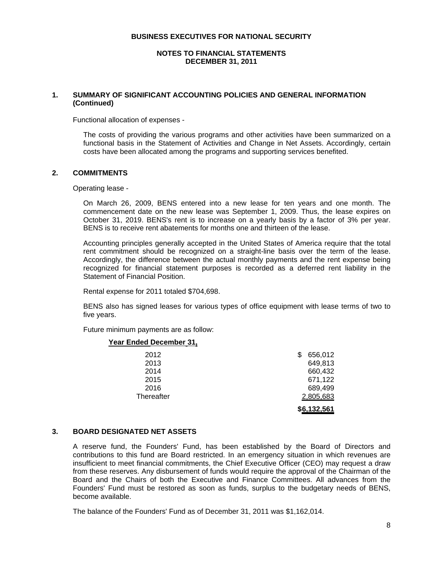#### **NOTES TO FINANCIAL STATEMENTS DECEMBER 31, 2011**

## **1. SUMMARY OF SIGNIFICANT ACCOUNTING POLICIES AND GENERAL INFORMATION (Continued)**

Functional allocation of expenses -

The costs of providing the various programs and other activities have been summarized on a functional basis in the Statement of Activities and Change in Net Assets. Accordingly, certain costs have been allocated among the programs and supporting services benefited.

## **2. COMMITMENTS**

Operating lease -

On March 26, 2009, BENS entered into a new lease for ten years and one month. The commencement date on the new lease was September 1, 2009. Thus, the lease expires on October 31, 2019. BENS's rent is to increase on a yearly basis by a factor of 3% per year. BENS is to receive rent abatements for months one and thirteen of the lease.

Accounting principles generally accepted in the United States of America require that the total rent commitment should be recognized on a straight-line basis over the term of the lease. Accordingly, the difference between the actual monthly payments and the rent expense being recognized for financial statement purposes is recorded as a deferred rent liability in the Statement of Financial Position.

Rental expense for 2011 totaled \$704,698.

BENS also has signed leases for various types of office equipment with lease terms of two to five years.

Future minimum payments are as follow:

## **Year Ended December 31,**

| Thereafter | 2,805,683<br>\$6,132,561 |
|------------|--------------------------|
| 2016       | 689,499                  |
| 2015       | 671,122                  |
| 2014       | 660,432                  |
| 2013       | 649,813                  |
| 2012       | 656,012                  |
|            |                          |

#### **3. BOARD DESIGNATED NET ASSETS**

A reserve fund, the Founders' Fund, has been established by the Board of Directors and contributions to this fund are Board restricted. In an emergency situation in which revenues are insufficient to meet financial commitments, the Chief Executive Officer (CEO) may request a draw from these reserves. Any disbursement of funds would require the approval of the Chairman of the Board and the Chairs of both the Executive and Finance Committees. All advances from the Founders' Fund must be restored as soon as funds, surplus to the budgetary needs of BENS, become available.

The balance of the Founders' Fund as of December 31, 2011 was \$1,162,014.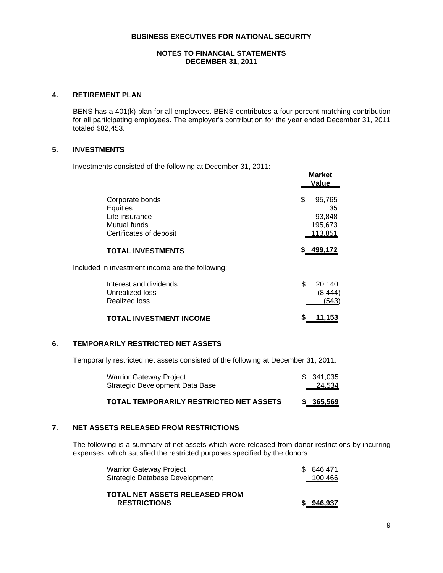#### **NOTES TO FINANCIAL STATEMENTS DECEMBER 31, 2011**

## **4. RETIREMENT PLAN**

BENS has a 401(k) plan for all employees. BENS contributes a four percent matching contribution for all participating employees. The employer's contribution for the year ended December 31, 2011 totaled \$82,453.

**Market**

## **5. INVESTMENTS**

Investments consisted of the following at December 31, 2011:

|                                                                                          | Mai Ret<br><b>Value</b>                            |
|------------------------------------------------------------------------------------------|----------------------------------------------------|
| Corporate bonds<br>Equities<br>Life insurance<br>Mutual funds<br>Certificates of deposit | \$<br>95,765<br>35<br>93,848<br>195,673<br>113,851 |
| <b>TOTAL INVESTMENTS</b>                                                                 | \$ 499,172                                         |
| Included in investment income are the following:                                         |                                                    |
| Interest and dividends<br>Unrealized loss<br>Realized loss                               | \$<br>20,140<br>(8, 444)<br>(543)                  |
| <b>TOTAL INVESTMENT INCOME</b>                                                           | 11,153                                             |

## **6. TEMPORARILY RESTRICTED NET ASSETS**

Temporarily restricted net assets consisted of the following at December 31, 2011:

| <b>Warrior Gateway Project</b>  | \$341,035 |
|---------------------------------|-----------|
| Strategic Development Data Base | 24,534    |
|                                 |           |

| TOTAL TEMPORARILY RESTRICTED NET ASSETS |  | \$365,569 |
|-----------------------------------------|--|-----------|
|-----------------------------------------|--|-----------|

# **7. NET ASSETS RELEASED FROM RESTRICTIONS**

The following is a summary of net assets which were released from donor restrictions by incurring expenses, which satisfied the restricted purposes specified by the donors:

| <b>Warrior Gateway Project</b> | \$ 846,471 |
|--------------------------------|------------|
| Strategic Database Development | 100,466    |

| <b>TOTAL NET ASSETS RELEASED FROM</b> |           |
|---------------------------------------|-----------|
| <b>RESTRICTIONS</b>                   | \$946.937 |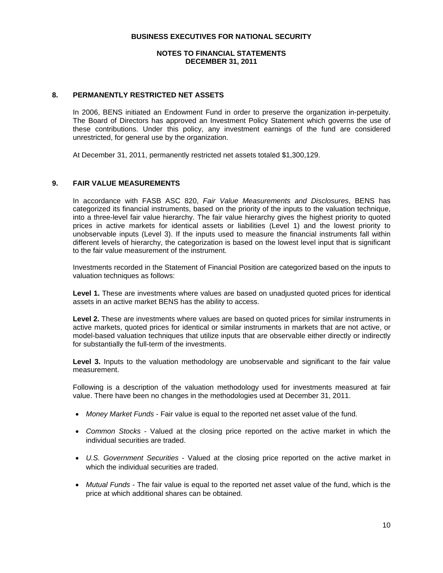#### **NOTES TO FINANCIAL STATEMENTS DECEMBER 31, 2011**

## **8. PERMANENTLY RESTRICTED NET ASSETS**

In 2006, BENS initiated an Endowment Fund in order to preserve the organization in-perpetuity. The Board of Directors has approved an Investment Policy Statement which governs the use of these contributions. Under this policy, any investment earnings of the fund are considered unrestricted, for general use by the organization.

At December 31, 2011, permanently restricted net assets totaled \$1,300,129.

## **9. FAIR VALUE MEASUREMENTS**

In accordance with FASB ASC 820, *Fair Value Measurements and Disclosures*, BENS has categorized its financial instruments, based on the priority of the inputs to the valuation technique, into a three-level fair value hierarchy. The fair value hierarchy gives the highest priority to quoted prices in active markets for identical assets or liabilities (Level 1) and the lowest priority to unobservable inputs (Level 3). If the inputs used to measure the financial instruments fall within different levels of hierarchy, the categorization is based on the lowest level input that is significant to the fair value measurement of the instrument.

Investments recorded in the Statement of Financial Position are categorized based on the inputs to valuation techniques as follows:

**Level 1.** These are investments where values are based on unadjusted quoted prices for identical assets in an active market BENS has the ability to access.

**Level 2.** These are investments where values are based on quoted prices for similar instruments in active markets, quoted prices for identical or similar instruments in markets that are not active, or model-based valuation techniques that utilize inputs that are observable either directly or indirectly for substantially the full-term of the investments.

Level 3. Inputs to the valuation methodology are unobservable and significant to the fair value measurement.

Following is a description of the valuation methodology used for investments measured at fair value. There have been no changes in the methodologies used at December 31, 2011.

- *Money Market Funds* Fair value is equal to the reported net asset value of the fund.
- *Common Stocks* Valued at the closing price reported on the active market in which the individual securities are traded.
- *U.S. Government Securities* Valued at the closing price reported on the active market in which the individual securities are traded.
- *Mutual Funds* The fair value is equal to the reported net asset value of the fund, which is the price at which additional shares can be obtained.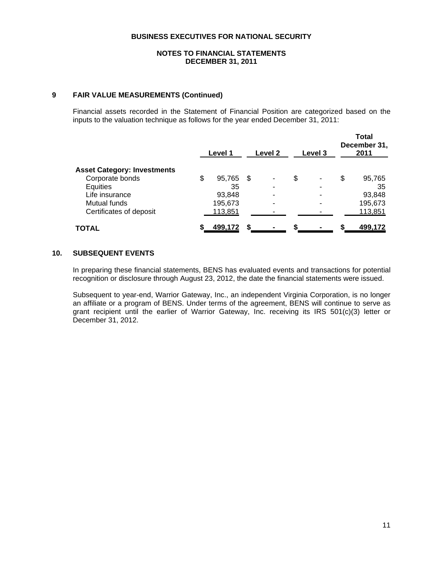## **NOTES TO FINANCIAL STATEMENTS DECEMBER 31, 2011**

## **9 FAIR VALUE MEASUREMENTS (Continued)**

Financial assets recorded in the Statement of Financial Position are categorized based on the inputs to the valuation technique as follows for the year ended December 31, 2011:

|                                    |    | Level 1   | Level 2                  | Level 3 | <b>Total</b><br>December 31,<br>2011 |
|------------------------------------|----|-----------|--------------------------|---------|--------------------------------------|
| <b>Asset Category: Investments</b> |    |           |                          |         |                                      |
| Corporate bonds                    | \$ | 95,765 \$ | ۰                        | \$<br>٠ | \$<br>95,765                         |
| Equities                           |    | 35        | -                        | ۰       | 35                                   |
| Life insurance                     |    | 93,848    | $\overline{\phantom{a}}$ | -       | 93,848                               |
| Mutual funds                       |    | 195,673   | -                        | -       | 195,673                              |
| Certificates of deposit            |    | 113,851   |                          |         | 113,851                              |
| <b>TOTAL</b>                       | S  | 499,172   |                          |         | 499,172                              |

## **10. SUBSEQUENT EVENTS**

In preparing these financial statements, BENS has evaluated events and transactions for potential recognition or disclosure through August 23, 2012, the date the financial statements were issued.

Subsequent to year-end, Warrior Gateway, Inc., an independent Virginia Corporation, is no longer an affiliate or a program of BENS. Under terms of the agreement, BENS will continue to serve as grant recipient until the earlier of Warrior Gateway, Inc. receiving its IRS 501(c)(3) letter or December 31, 2012.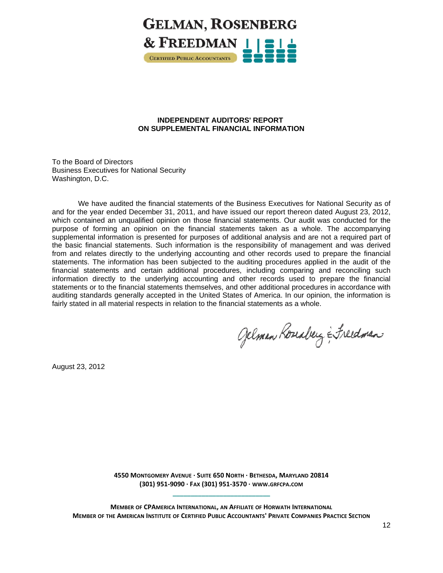

## **INDEPENDENT AUDITORS' REPORT ON SUPPLEMENTAL FINANCIAL INFORMATION**

To the Board of Directors Business Executives for National Security Washington, D.C.

We have audited the financial statements of the Business Executives for National Security as of and for the year ended December 31, 2011, and have issued our report thereon dated August 23, 2012, which contained an unqualified opinion on those financial statements. Our audit was conducted for the purpose of forming an opinion on the financial statements taken as a whole. The accompanying supplemental information is presented for purposes of additional analysis and are not a required part of the basic financial statements. Such information is the responsibility of management and was derived from and relates directly to the underlying accounting and other records used to prepare the financial statements. The information has been subjected to the auditing procedures applied in the audit of the financial statements and certain additional procedures, including comparing and reconciling such information directly to the underlying accounting and other records used to prepare the financial statements or to the financial statements themselves, and other additional procedures in accordance with auditing standards generally accepted in the United States of America. In our opinion, the information is fairly stated in all material respects in relation to the financial statements as a whole.

Gelman Roseaberg & Freedman

August 23, 2012

**4550 MONTGOMERY AVENUE ∙ SUITE 650 NORTH ∙ BETHESDA, MARYLAND 20814 (301) 951‐9090 ∙ FAX (301) 951‐3570 ∙ WWW.GRFCPA.COM \_\_\_\_\_\_\_\_\_\_\_\_\_\_\_\_\_\_\_\_\_\_\_\_\_\_\_**

**MEMBER OF CPAMERICA INTERNATIONAL, AN AFFILIATE OF HORWATH INTERNATIONAL MEMBER OF THE AMERICAN INSTITUTE OF CERTIFIED PUBLIC ACCOUNTANTS' PRIVATE COMPANIES PRACTICE SECTION**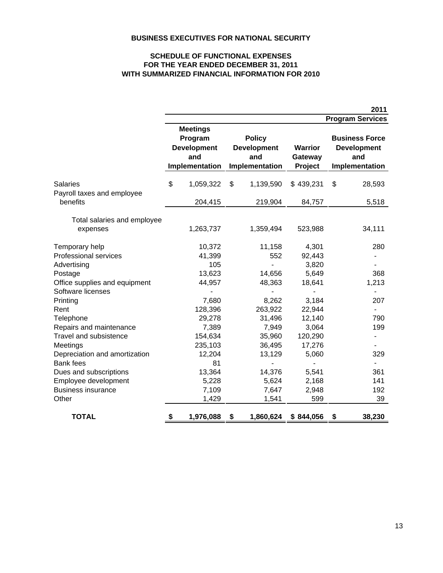# **WITH SUMMARIZED FINANCIAL INFORMATION FOR 2010 FOR THE YEAR ENDED DECEMBER 31, 2011 SCHEDULE OF FUNCTIONAL EXPENSES**

|                               |                                   |           |                                                                                                      |           |                                      | 2011                                                                 |
|-------------------------------|-----------------------------------|-----------|------------------------------------------------------------------------------------------------------|-----------|--------------------------------------|----------------------------------------------------------------------|
|                               |                                   |           |                                                                                                      |           |                                      | <b>Program Services</b>                                              |
|                               | <b>Meetings</b><br>Program<br>and |           | <b>Policy</b><br><b>Development</b><br><b>Development</b><br>and<br>Implementation<br>Implementation |           | <b>Warrior</b><br>Gateway<br>Project | <b>Business Force</b><br><b>Development</b><br>and<br>Implementation |
| <b>Salaries</b>               | \$                                | 1,059,322 | \$                                                                                                   | 1,139,590 | \$439,231                            | \$<br>28,593                                                         |
| Payroll taxes and employee    |                                   |           |                                                                                                      |           |                                      |                                                                      |
| benefits                      |                                   | 204,415   |                                                                                                      | 219,904   | 84,757                               | 5,518                                                                |
| Total salaries and employee   |                                   |           |                                                                                                      |           |                                      |                                                                      |
| expenses                      |                                   | 1,263,737 |                                                                                                      | 1,359,494 | 523,988                              | 34,111                                                               |
| Temporary help                |                                   | 10,372    |                                                                                                      | 11,158    | 4,301                                | 280                                                                  |
| Professional services         |                                   | 41,399    |                                                                                                      | 552       | 92,443                               |                                                                      |
| Advertising                   |                                   | 105       |                                                                                                      |           | 3,820                                |                                                                      |
| Postage                       |                                   | 13,623    |                                                                                                      | 14,656    | 5,649                                | 368                                                                  |
| Office supplies and equipment |                                   | 44,957    |                                                                                                      | 48,363    | 18,641                               | 1,213                                                                |
| Software licenses             |                                   |           |                                                                                                      |           |                                      |                                                                      |
| Printing                      |                                   | 7,680     |                                                                                                      | 8,262     | 3,184                                | 207                                                                  |
| Rent                          |                                   | 128,396   |                                                                                                      | 263,922   | 22,944                               | $\overline{\phantom{0}}$                                             |
| Telephone                     |                                   | 29,278    |                                                                                                      | 31,496    | 12,140                               | 790                                                                  |
| Repairs and maintenance       |                                   | 7,389     |                                                                                                      | 7,949     | 3,064                                | 199                                                                  |
| Travel and subsistence        |                                   | 154,634   |                                                                                                      | 35,960    | 120,290                              |                                                                      |
| Meetings                      |                                   | 235,103   |                                                                                                      | 36,495    | 17,276                               |                                                                      |
| Depreciation and amortization |                                   | 12,204    |                                                                                                      | 13,129    | 5,060                                | 329                                                                  |
| <b>Bank fees</b>              |                                   | 81        |                                                                                                      |           |                                      | ä,                                                                   |
| Dues and subscriptions        |                                   | 13,364    |                                                                                                      | 14,376    | 5,541                                | 361                                                                  |
| Employee development          |                                   | 5,228     |                                                                                                      | 5,624     | 2,168                                | 141                                                                  |
| <b>Business insurance</b>     |                                   | 7,109     |                                                                                                      | 7,647     | 2,948                                | 192                                                                  |
| Other                         |                                   | 1,429     |                                                                                                      | 1,541     | 599                                  | 39                                                                   |
| <b>TOTAL</b>                  | \$                                | 1,976,088 | \$                                                                                                   | 1,860,624 | \$844,056                            | \$<br>38,230                                                         |